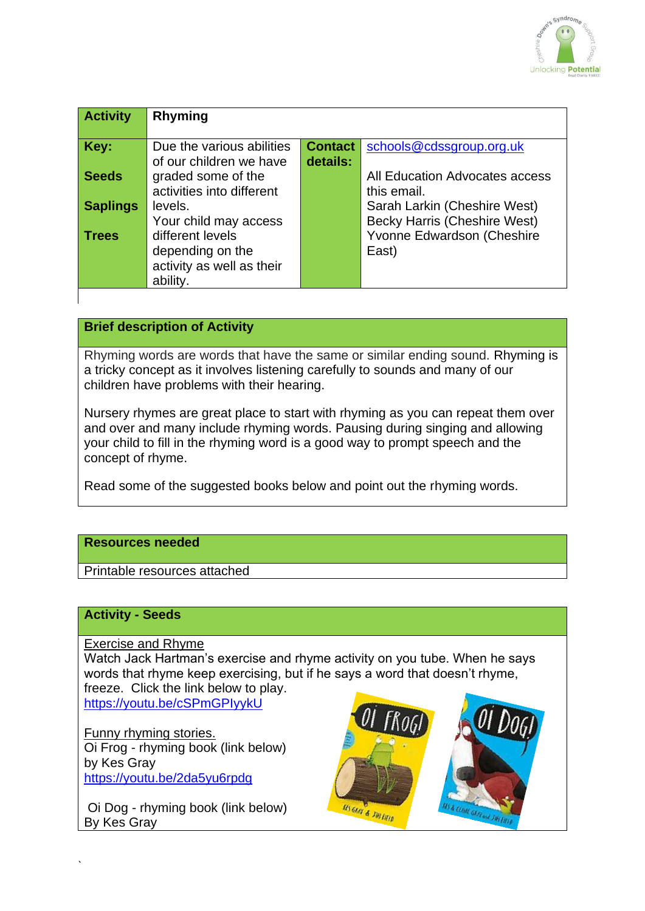

| <b>Activity</b> | Rhyming                   |                |                                     |
|-----------------|---------------------------|----------------|-------------------------------------|
|                 |                           |                |                                     |
| Key:            | Due the various abilities | <b>Contact</b> | schools@cdssgroup.org.uk            |
|                 | of our children we have   | details:       |                                     |
| <b>Seeds</b>    | graded some of the        |                | All Education Advocates access      |
|                 | activities into different |                | this email.                         |
| <b>Saplings</b> | levels.                   |                | Sarah Larkin (Cheshire West)        |
|                 | Your child may access     |                | <b>Becky Harris (Cheshire West)</b> |
| <b>Trees</b>    | different levels          |                | Yvonne Edwardson (Cheshire          |
|                 | depending on the          |                | East)                               |
|                 | activity as well as their |                |                                     |
|                 | ability.                  |                |                                     |
|                 |                           |                |                                     |

# **Brief description of Activity**

Rhyming words are words that have the same or similar ending sound. Rhyming is a tricky concept as it involves listening carefully to sounds and many of our children have problems with their hearing.

Nursery rhymes are great place to start with rhyming as you can repeat them over and over and many include rhyming words. Pausing during singing and allowing your child to fill in the rhyming word is a good way to prompt speech and the concept of rhyme.

Read some of the suggested books below and point out the rhyming words.

### **Resources needed**

Printable resources attached

### **Activity - Seeds**

`

Exercise and Rhyme Watch Jack Hartman's exercise and rhyme activity on you tube. When he says words that rhyme keep exercising, but if he says a word that doesn't rhyme, freeze. Click the link below to play. <https://youtu.be/cSPmGPIyykU> Funny rhyming stories. Oi Frog - rhyming book (link below) by Kes Gray

<https://youtu.be/2da5yu6rpdg>

Oi Dog - rhyming book (link below) By Kes Gray

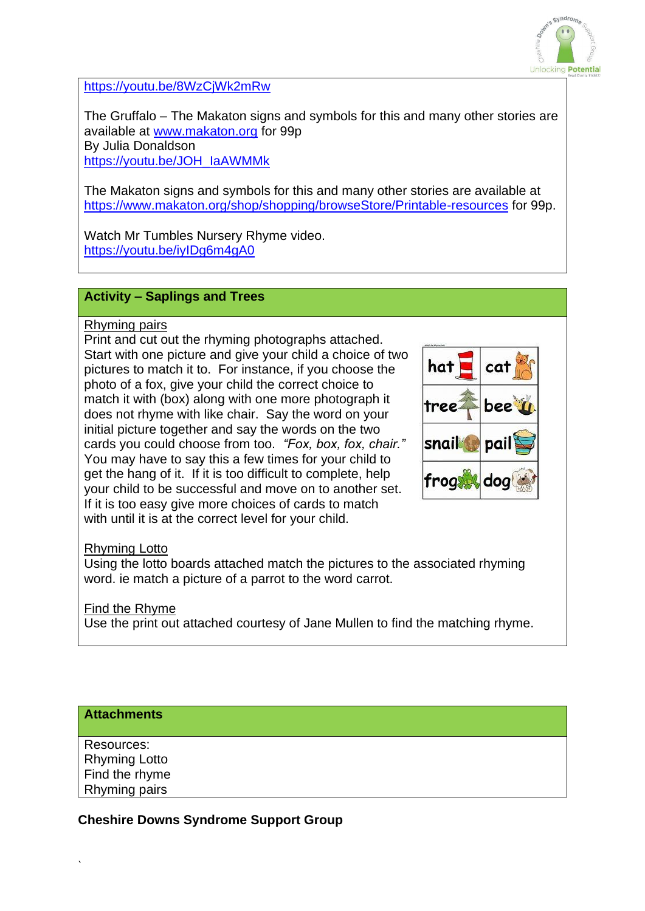

### <https://youtu.be/8WzCjWk2mRw>

The Gruffalo – The Makaton signs and symbols for this and many other stories are available at [www.makaton.org](http://www.makaton.org/) for 99p By Julia Donaldson [https://youtu.be/JOH\\_IaAWMMk](https://youtu.be/JOH_IaAWMMk)

The Makaton signs and symbols for this and many other stories are available at <https://www.makaton.org/shop/shopping/browseStore/Printable-resources> for 99p.

Watch Mr Tumbles Nursery Rhyme video. <https://youtu.be/iyIDg6m4gA0>

## **Activity – Saplings and Trees**

### Rhyming pairs

Print and cut out the rhyming photographs attached. Start with one picture and give your child a choice of two pictures to match it to. For instance, if you choose the photo of a fox, give your child the correct choice to match it with (box) along with one more photograph it does not rhyme with like chair. Say the word on your initial picture together and say the words on the two cards you could choose from too. *"Fox, box, fox, chair."* You may have to say this a few times for your child to get the hang of it. If it is too difficult to complete, help your child to be successful and move on to another set. If it is too easy give more choices of cards to match with until it is at the correct level for your child.



### Rhyming Lotto

Using the lotto boards attached match the pictures to the associated rhyming word. ie match a picture of a parrot to the word carrot.

### Find the Rhyme

Use the print out attached courtesy of Jane Mullen to find the matching rhyme.

**Attachments**

Resources: Rhyming Lotto Find the rhyme Rhyming pairs

`

**Cheshire Downs Syndrome Support Group**